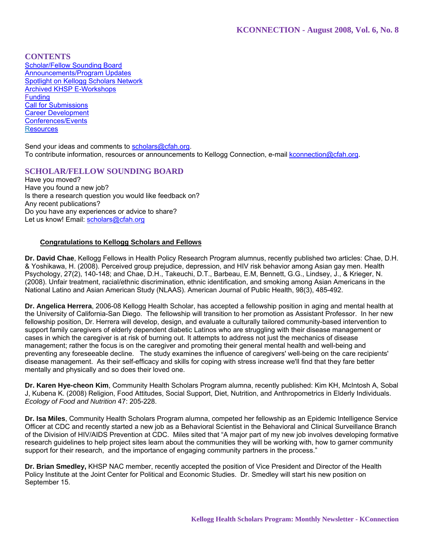**CONTENTS**

Scholar/Fellow Sounding Board Announcements/Program Updates Spotlight on Kellogg Scholars Network Archived KHSP E-Workshops **Funding** Call for Submissions Career Development Conferences/Events **Resources** 

Send your ideas and comments to scholars@cfah.org. To contribute information, resources or announcements to Kellogg Connection, e-mail kconnection@cfah.org.

# **SCHOLAR/FELLOW SOUNDING BOARD**

Have you moved? Have you found a new job? Is there a research question you would like feedback on? Any recent publications? Do you have any experiences or advice to share? Let us know! Email: scholars@cfah.org

# **Congratulations to Kellogg Scholars and Fellows**

**Dr. David Chae**, Kellogg Fellows in Health Policy Research Program alumnus, recently published two articles: Chae, D.H. & Yoshikawa, H. (2008). Perceived group prejudice, depression, and HIV risk behavior among Asian gay men. Health Psychology, 27(2), 140-148; and Chae, D.H., Takeuchi, D.T., Barbeau, E.M, Bennett, G.G., Lindsey, J., & Krieger, N. (2008). Unfair treatment, racial/ethnic discrimination, ethnic identification, and smoking among Asian Americans in the National Latino and Asian American Study (NLAAS). American Journal of Public Health, 98(3), 485-492.

**Dr. Angelica Herrera**, 2006-08 Kellogg Health Scholar, has accepted a fellowship position in aging and mental health at the University of California-San Diego. The fellowship will transition to her promotion as Assistant Professor. In her new fellowship position, Dr. Herrera will develop, design, and evaluate a culturally tailored community-based intervention to support family caregivers of elderly dependent diabetic Latinos who are struggling with their disease management or cases in which the caregiver is at risk of burning out. It attempts to address not just the mechanics of disease management; rather the focus is on the caregiver and promoting their general mental health and well-being and preventing any foreseeable decline. The study examines the influence of caregivers' well-being on the care recipients' disease management. As their self-efficacy and skills for coping with stress increase we'll find that they fare better mentally and physically and so does their loved one.

**Dr. Karen Hye-cheon Kim**, Community Health Scholars Program alumna, recently published: Kim KH, McIntosh A, Sobal J, Kubena K. (2008) Religion, Food Attitudes, Social Support, Diet, Nutrition, and Anthropometrics in Elderly Individuals. *Ecology of Food and Nutrition* 47: 205-228.

**Dr. Isa Miles**, Community Health Scholars Program alumna, competed her fellowship as an Epidemic Intelligence Service Officer at CDC and recently started a new job as a Behavioral Scientist in the Behavioral and Clinical Surveillance Branch of the Division of HIV/AIDS Prevention at CDC. Miles sited that "A major part of my new job involves developing formative research guidelines to help project sites learn about the communities they will be working with, how to garner community support for their research, and the importance of engaging community partners in the process."

**Dr. Brian Smedley,** KHSP NAC member, recently accepted the position of Vice President and Director of the Health Policy Institute at the Joint Center for Political and Economic Studies. Dr. Smedley will start his new position on September 15.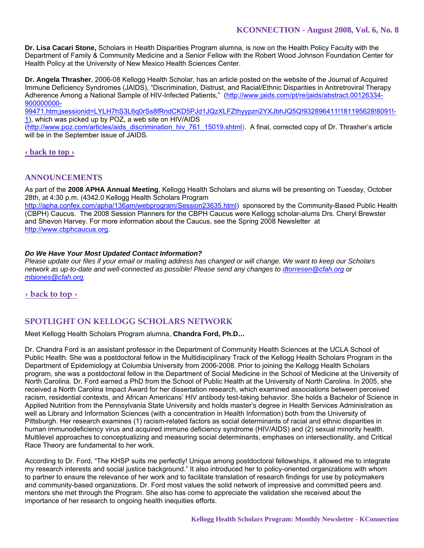**Dr. Lisa Cacari Stone,** Scholars in Health Disparities Program alumna, is now on the Health Policy Faculty with the Department of Family & Community Medicine and a Senior Fellow with the Robert Wood Johnson Foundation Center for Health Policy at the University of New Mexico Health Sciences Center.

**Dr. Angela Thrasher**, 2006-08 Kellogg Health Scholar, has an article posted on the website of the Journal of Acquired Immune Deficiency Syndromes (JAIDS), "Discrimination, Distrust, and Racial/Ethnic Disparities in Antiretroviral Therapy Adherence Among a National Sample of HIV-Infected Patients," (http://www.jaids.com/pt/re/jaids/abstract.00126334- 900000000-

99471.htm;jsessionid=LYLH7hS3L6q0rSs8fRndCKD5PJd1JQzXLFZthyypzn2YXJbhJQ5Q!932896411!181195628!8091!- 1), which was picked up by POZ, a web site on HIV/AIDS

(http://www.poz.com/articles/aids\_discrimination\_hiv\_761\_15019.shtml). A final, corrected copy of Dr. Thrasher's article will be in the September issue of JAIDS.

# **‹ back to top ›**

# **ANNOUNCEMENTS**

As part of the **2008 APHA Annual Meeting**, Kellogg Health Scholars and alums will be presenting on Tuesday, October 28th, at 4:30 p.m. (4342.0 Kellogg Health Scholars Program

http://apha.confex.com/apha/136am/webprogram/Session23635.html) sponsored by the Community-Based Public Health (CBPH) Caucus. The 2008 Session Planners for the CBPH Caucus were Kellogg scholar-alums Drs. Cheryl Brewster and Shevon Harvey. For more information about the Caucus, see the Spring 2008 Newsletter at http://www.cbphcaucus.org.

### *Do We Have Your Most Updated Contact Information?*

*Please update our files if your email or mailing address has changed or will change. We want to keep our Scholars network as up-to-date and well-connected as possible! Please send any changes to dtorresen@cfah.org or mbjones@cfah.org.* 

**‹ back to top ›**

# **SPOTLIGHT ON KELLOGG SCHOLARS NETWORK**

Meet Kellogg Health Scholars Program alumna, **Chandra Ford, Ph.D…** 

Dr. Chandra Ford is an assistant professor in the Department of Community Health Sciences at the UCLA School of Public Health. She was a postdoctoral fellow in the Multidisciplinary Track of the Kellogg Health Scholars Program in the Department of Epidemiology at Columbia University from 2006-2008. Prior to joining the Kellogg Health Scholars program, she was a postdoctoral fellow in the Department of Social Medicine in the School of Medicine at the University of North Carolina. Dr. Ford earned a PhD from the School of Public Health at the University of North Carolina. In 2005, she received a North Carolina Impact Award for her dissertation research, which examined associations between perceived racism, residential contexts, and African Americans' HIV antibody test-taking behavior. She holds a Bachelor of Science in Applied Nutrition from the Pennsylvania State University and holds master's degree in Health Services Administration as well as Library and Information Sciences (with a concentration in Health Information) both from the University of Pittsburgh. Her research examines (1) racism-related factors as social determinants of racial and ethnic disparities in human immunodeficiency virus and acquired immune deficiency syndrome (HIV/AIDS) and (2) sexual minority health. Multilevel approaches to conceptualizing and measuring social determinants, emphases on intersectionality, and Critical Race Theory are fundamental to her work.

According to Dr. Ford, "The KHSP suits me perfectly! Unique among postdoctoral fellowships, it allowed me to integrate my research interests and social justice background." It also introduced her to policy-oriented organizations with whom to partner to ensure the relevance of her work and to facilitate translation of research findings for use by policymakers and community-based organizations. Dr. Ford most values the solid network of impressive and committed peers and mentors she met through the Program. She also has come to appreciate the validation she received about the importance of her research to ongoing health inequities efforts.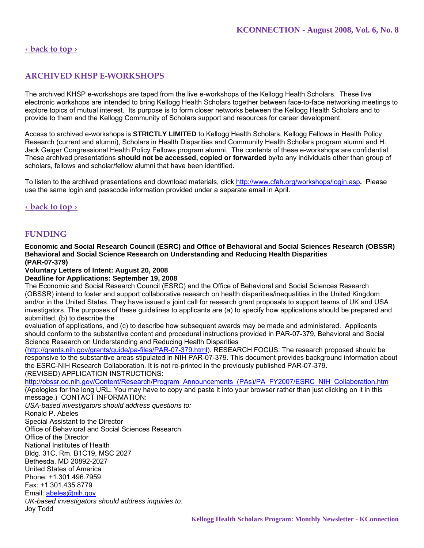# **‹ back to top ›**

# **ARCHIVED KHSP E-WORKSHOPS**

The archived KHSP e-workshops are taped from the live e-workshops of the Kellogg Health Scholars. These live electronic workshops are intended to bring Kellogg Health Scholars together between face-to-face networking meetings to explore topics of mutual interest. Its purpose is to form closer networks between the Kellogg Health Scholars and to provide to them and the Kellogg Community of Scholars support and resources for career development.

Access to archived e-workshops is **STRICTLY LIMITED** to Kellogg Health Scholars, Kellogg Fellows in Health Policy Research (current and alumni), Scholars in Health Disparities and Community Health Scholars program alumni and H. Jack Geiger Congressional Health Policy Fellows program alumni. The contents of these e-workshops are confidential. These archived presentations **should not be accessed, copied or forwarded** by/to any individuals other than group of scholars, fellows and scholar/fellow alumni that have been identified.

To listen to the archived presentations and download materials, click http://www.cfah.org/workshops/login.asp**.** Please use the same login and passcode information provided under a separate email in April.

#### **‹ back to top ›**

# **FUNDING**

**Economic and Social Research Council (ESRC) and Office of Behavioral and Social Sciences Research (OBSSR) Behavioral and Social Science Research on Understanding and Reducing Health Disparities (PAR-07-379)** 

#### **Voluntary Letters of Intent: August 20, 2008**

**Deadline for Applications: September 19, 2008** 

The Economic and Social Research Council (ESRC) and the Office of Behavioral and Social Sciences Research (OBSSR) intend to foster and support collaborative research on health disparities/inequalities in the United Kingdom and/or in the United States. They have issued a joint call for research grant proposals to support teams of UK and USA investigators. The purposes of these guidelines to applicants are (a) to specify how applications should be prepared and submitted, (b) to describe the

evaluation of applications, and (c) to describe how subsequent awards may be made and administered. Applicants should conform to the substantive content and procedural instructions provided in PAR-07-379, Behavioral and Social Science Research on Understanding and Reducing Health Disparities

(http://grants.nih.gov/grants/guide/pa-files/PAR-07-379.html). RESEARCH FOCUS: The research proposed should be responsive to the substantive areas stipulated in NIH PAR-07-379. This document provides background information about the ESRC-NIH Research Collaboration. It is not re-printed in the previously published PAR-07-379. (REVISED) APPLICATION INSTRUCTIONS:

http://obssr.od.nih.gov/Content/Research/Program\_Announcements\_(PAs)/PA\_FY2007/ESRC\_NIH\_Collaboration.htm

(Apologies for the long URL. You may have to copy and paste it into your browser rather than just clicking on it in this message.) CONTACT INFORMATION:

*USA-based investigators should address questions to:*  Ronald P. Abeles

Special Assistant to the Director Office of Behavioral and Social Sciences Research Office of the Director National Institutes of Health Bldg. 31C, Rm. B1C19, MSC 2027 Bethesda, MD 20892-2027 United States of America Phone: +1.301.496.7959 Fax: +1.301.435.8779 Email: abeles@nih.gov *UK-based investigators should address inquiries to:* Joy Todd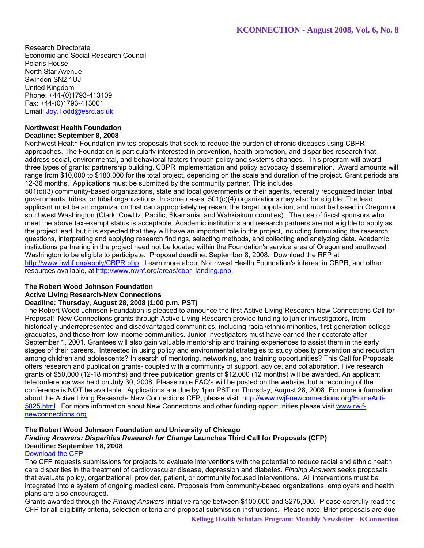Research Directorate Economic and Social Research Council Polaris House North Star Avenue Swindon SN2 1UJ United Kingdom Phone: +44-(0)1793-413109 Fax: +44-(0)1793-413001 Email: Joy.Todd@esrc.ac.uk

# **Northwest Health Foundation**

### **Deadline: September 8, 2008**

Northwest Health Foundation invites proposals that seek to reduce the burden of chronic diseases using CBPR approaches. The Foundation is particularly interested in prevention, health promotion, and disparities research that address social, environmental, and behavioral factors through policy and systems changes. This program will award three types of grants: partnership building, CBPR implementation and policy advocacy dissemination. Award amounts will range from \$10,000 to \$180,000 for the total project, depending on the scale and duration of the project. Grant periods are 12-36 months. Applications must be submitted by the community partner. This includes

501(c)(3) community-based organizations, state and local governments or their agents, federally recognized Indian tribal governments, tribes, or tribal organizations. In some cases, 501(c)(4) organizations may also be eligible. The lead applicant must be an organization that can appropriately represent the target population, and must be based in Oregon or southwest Washington (Clark, Cowlitz, Pacific, Skamania, and Wahkiakum counties). The use of fiscal sponsors who meet the above tax-exempt status is acceptable. Academic institutions and research partners are not eligible to apply as the project lead, but it is expected that they will have an important role in the project, including formulating the research questions, interpreting and applying research findings, selecting methods, and collecting and analyzing data. Academic institutions partnering in the project need not be located within the Foundation's service area of Oregon and southwest Washington to be eligible to participate. Proposal deadline: September 8, 2008. Download the RFP at http://www.nwhf.org/apply/CBPR.php. Learn more about Northwest Health Foundation's interest in CBPR, and other resources available, at http://www.nwhf.org/areas/cbpr\_landing.php.

# **The Robert Wood Johnson Foundation**

#### **Active Living Research-New Connections**

# **Deadline: Thursday, August 28, 2008 (1:00 p.m. PST)**

The Robert Wood Johnson Foundation is pleased to announce the first Active Living Research-New Connections Call for Proposal! New Connections grants through Active Living Research provide funding to junior investigators, from historically underrepresented and disadvantaged communities, including racial/ethnic minorities, first-generation college graduates, and those from low-income communities. Junior Investigators must have earned their doctorate after September 1, 2001. Grantees will also gain valuable mentorship and training experiences to assist them in the early stages of their careers. Interested in using policy and environmental strategies to study obesity prevention and reduction among children and adolescents? In search of mentoring, networking, and training opportunities? This Call for Proposals offers research and publication grants- coupled with a community of support, advice, and collaboration. Five research grants of \$50,000 (12-18 months) and three publication grants of \$12,000 (12 months) will be awarded. An applicant teleconference was held on July 30, 2008. Please note FAQ's will be posted on the website, but a recording of the conference is NOT be available. Applications are due by 1pm PST on Thursday, August 28, 2008. For more information about the Active Living Research- New Connections CFP, please visit: http://www.rwjf-newconnections.org/HomeActi-5825.html. For more information about New Connections and other funding opportunities please visit www.rwjfnewconnections.org.

# **The Robert Wood Johnson Foundation and University of Chicago**

# *Finding Answers: Disparities Research for Change* **Launches Third Call for Proposals (CFP) Deadline: September 18, 2008**

#### Download the CFP

The CFP requests submissions for projects to evaluate interventions with the potential to reduce racial and ethnic health care disparities in the treatment of cardiovascular disease, depression and diabetes. *Finding Answers* seeks proposals that evaluate policy, organizational, provider, patient, or community focused interventions. All interventions must be integrated into a system of ongoing medical care. Proposals from community-based organizations, employers and health plans are also encouraged.

Grants awarded through the *Finding Answers* initiative range between \$100,000 and \$275,000. Please carefully read the CFP for all eligibility criteria, selection criteria and proposal submission instructions. Please note: Brief proposals are due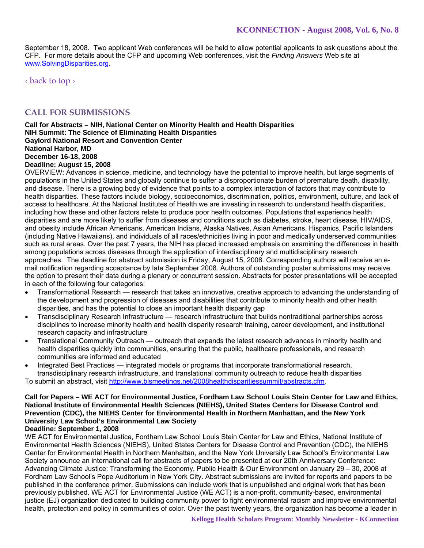September 18, 2008. Two applicant Web conferences will be held to allow potential applicants to ask questions about the CFP. For more details about the CFP and upcoming Web conferences, visit the *Finding Answers* Web site at www.SolvingDisparities.org.

‹ back to top ›

# **CALL FOR SUBMISSIONS**

**Call for Abstracts – NIH, National Center on Minority Health and Health Disparities NIH Summit: The Science of Eliminating Health Disparities Gaylord National Resort and Convention Center National Harbor, MD December 16-18, 2008** 

### **Deadline: August 15, 2008**

OVERVIEW: Advances in science, medicine, and technology have the potential to improve health, but large segments of populations in the United States and globally continue to suffer a disproportionate burden of premature death, disability, and disease. There is a growing body of evidence that points to a complex interaction of factors that may contribute to health disparities. These factors include biology, socioeconomics, discrimination, politics, environment, culture, and lack of access to healthcare. At the National Institutes of Health we are investing in research to understand health disparities, including how these and other factors relate to produce poor health outcomes. Populations that experience health disparities and are more likely to suffer from diseases and conditions such as diabetes, stroke, heart disease, HIV/AIDS, and obesity include African Americans, American Indians, Alaska Natives, Asian Americans, Hispanics, Pacific Islanders (including Native Hawaiians), and individuals of all races/ethnicities living in poor and medically underserved communities such as rural areas. Over the past 7 years, the NIH has placed increased emphasis on examining the differences in health among populations across diseases through the application of interdisciplinary and multidisciplinary research approaches. The deadline for abstract submission is Friday, August 15, 2008. Corresponding authors will receive an email notification regarding acceptance by late September 2008. Authors of outstanding poster submissions may receive the option to present their data during a plenary or concurrent session. Abstracts for poster presentations will be accepted in each of the following four categories:

- Transformational Research research that takes an innovative, creative approach to advancing the understanding of the development and progression of diseases and disabilities that contribute to minority health and other health disparities, and has the potential to close an important health disparity gap
- Transdisciplinary Research Infrastructure research infrastructure that builds nontraditional partnerships across disciplines to increase minority health and health disparity research training, career development, and institutional research capacity and infrastructure
- Translational Community Outreach outreach that expands the latest research advances in minority health and health disparities quickly into communities, ensuring that the public, healthcare professionals, and research communities are informed and educated
- Integrated Best Practices integrated models or programs that incorporate transformational research, transdisciplinary research infrastructure, and translational community outreach to reduce health disparities To submit an abstract, visit http://www.blsmeetings.net/2008healthdisparitiessummit/abstracts.cfm.

# **Call for Papers – WE ACT for Environmental Justice, Fordham Law School Louis Stein Center for Law and Ethics, National Institute of Environmental Health Sciences (NIEHS), United States Centers for Disease Control and Prevention (CDC), the NIEHS Center for Environmental Health in Northern Manhattan, and the New York University Law School's Environmental Law Society**

**Deadline: September 1, 2008** 

WE ACT for Environmental Justice, Fordham Law School Louis Stein Center for Law and Ethics, National Institute of Environmental Health Sciences (NIEHS), United States Centers for Disease Control and Prevention (CDC), the NIEHS Center for Environmental Health in Northern Manhattan, and the New York University Law School's Environmental Law Society announce an international call for abstracts of papers to be presented at our 20th Anniversary Conference: Advancing Climate Justice: Transforming the Economy, Public Health & Our Environment on January 29 – 30, 2008 at Fordham Law School's Pope Auditorium in New York City. Abstract submissions are invited for reports and papers to be published in the conference primer. Submissions can include work that is unpublished and original work that has been previously published. WE ACT for Environmental Justice (WE ACT) is a non-profit, community-based, environmental justice (EJ) organization dedicated to building community power to fight environmental racism and improve environmental health, protection and policy in communities of color. Over the past twenty years, the organization has become a leader in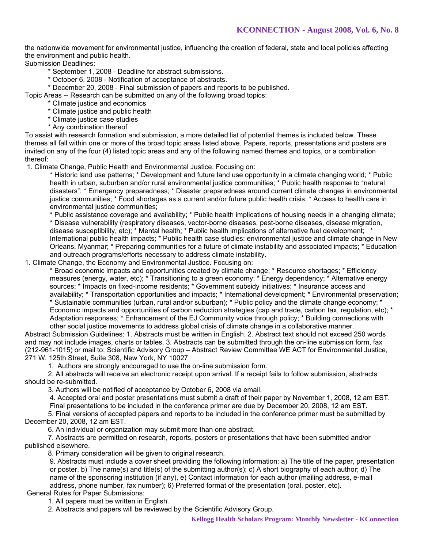the nationwide movement for environmental justice, influencing the creation of federal, state and local policies affecting the environment and public health.

Submission Deadlines:

\* September 1, 2008 - Deadline for abstract submissions.

\* October 6, 2008 - Notification of acceptance of abstracts.

\* December 20, 2008 - Final submission of papers and reports to be published.

Topic Areas -- Research can be submitted on any of the following broad topics:

- \* Climate justice and economics
- \* Climate justice and public health
- \* Climate justice case studies
- \* Any combination thereof

To assist with research formation and submission, a more detailed list of potential themes is included below. These themes all fall within one or more of the broad topic areas listed above. Papers, reports, presentations and posters are invited on any of the four (4) listed topic areas and any of the following named themes and topics, or a combination thereof:

1. Climate Change, Public Health and Environmental Justice. Focusing on:

\* Historic land use patterns; \* Development and future land use opportunity in a climate changing world; \* Public health in urban, suburban and/or rural environmental justice communities; \* Public health response to "natural disasters"; \* Emergency preparedness; \* Disaster preparedness around current climate changes in environmental justice communities; \* Food shortages as a current and/or future public health crisis; \* Access to health care in environmental justice communities;

\* Public assistance coverage and availability; \* Public health implications of housing needs in a changing climate; \* Disease vulnerability (respiratory diseases, vector-borne diseases, pest-borne diseases, disease migration, disease susceptibility, etc); \* Mental health; \* Public health implications of alternative fuel development; \* International public health impacts; \* Public health case studies: environmental justice and climate change in New Orleans, Myanmar; \* Preparing communities for a future of climate instability and associated impacts; \* Education and outreach programs/efforts necessary to address climate instability.

1. Climate Change, the Economy and Environmental Justice. Focusing on:

\* Broad economic impacts and opportunities created by climate change; \* Resource shortages; \* Efficiency measures (energy, water, etc); \* Transitioning to a green economy; \* Energy dependency; \* Alternative energy sources; \* Impacts on fixed-income residents; \* Government subsidy initiatives; \* Insurance access and availability; \* Transportation opportunities and impacts; \* International development; \* Environmental preservation; \* Sustainable communities (urban, rural and/or suburban); \* Public policy and the climate change economy; \* Economic impacts and opportunities of carbon reduction strategies (cap and trade, carbon tax, regulation, etc); \* Adaptation responses; \* Enhancement of the EJ Community voice through policy; \* Building connections with other social justice movements to address global crisis of climate change in a collaborative manner.

Abstract Submission Guidelines: 1. Abstracts must be written in English. 2. Abstract text should not exceed 250 words and may not include images, charts or tables. 3. Abstracts can be submitted through the on-line submission form, fax (212-961-1015) or mail to: Scientific Advisory Group – Abstract Review Committee WE ACT for Environmental Justice, 271 W. 125th Street, Suite 308, New York, NY 10027

1. Authors are strongly encouraged to use the on-line submission form.

 2. All abstracts will receive an electronic receipt upon arrival. If a receipt fails to follow submission, abstracts should be re-submitted.

3. Authors will be notified of acceptance by October 6, 2008 via email.

4. Accepted oral and poster presentations must submit a draft of their paper by November 1, 2008, 12 am EST.

Final presentations to be included in the conference primer are due by December 20, 2008, 12 am EST.

 5. Final versions of accepted papers and reports to be included in the conference primer must be submitted by December 20, 2008, 12 am EST.

6. An individual or organization may submit more than one abstract.

 7. Abstracts are permitted on research, reports, posters or presentations that have been submitted and/or published elsewhere.

8. Primary consideration will be given to original research.

9. Abstracts must include a cover sheet providing the following information: a) The title of the paper, presentation or poster, b) The name(s) and title(s) of the submitting author(s); c) A short biography of each author; d) The name of the sponsoring institution (if any), e) Contact information for each author (mailing address, e-mail address, phone number, fax number); 6) Preferred format of the presentation (oral, poster, etc).

General Rules for Paper Submissions:

1. All papers must be written in English.

2. Abstracts and papers will be reviewed by the Scientific Advisory Group.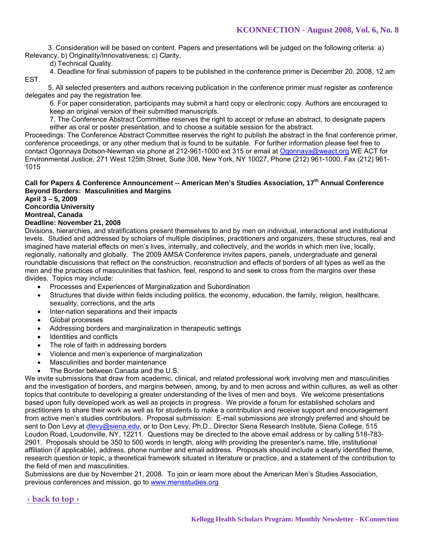3. Consideration will be based on content. Papers and presentations will be judged on the following criteria: a) Relevancy, b) Originality/Innovativeness; c) Clarity,

d) Technical Quality.

4. Deadline for final submission of papers to be published in the conference primer is December 20, 2008, 12 am EST.

 5. All selected presenters and authors receiving publication in the conference primer must register as conference delegates and pay the registration fee.

6. For paper consideration, participants may submit a hard copy or electronic copy. Authors are encouraged to keep an original version of their submitted manuscripts.

7. The Conference Abstract Committee reserves the right to accept or refuse an abstract, to designate papers either as oral or poster presentation, and to choose a suitable session for the abstract.

Proceedings: The Conference Abstract Committee reserves the right to publish the abstract in the final conference primer, conference proceedings, or any other medium that is found to be suitable. For further information please feel free to contact Ogonnaya Dotson-Newman via phone at 212-961-1000 ext 315 or email at Ogonnaya@weact.org WE ACT for Environmental Justice, 271 West 125th Street, Suite 308, New York, NY 10027, Phone (212) 961-1000, Fax (212) 961- 1015

# **Call for Papers & Conference Announcement -- American Men's Studies Association, 17th Annual Conference Beyond Borders: Masculinities and Margins**

**April 3 – 5, 2009** 

**Concordia University** 

**Montreal, Canada** 

#### **Deadline: November 21, 2008**

Divisions, hierarchies, and stratifications present themselves to and by men on individual, interactional and institutional levels. Studied and addressed by scholars of multiple disciplines, practitioners and organizers, these structures, real and imagined have material effects on men's lives, internally, and collectively, and the worlds in which men live, locally, regionally, nationally and globally. The 2009 AMSA Conference invites papers, panels, undergraduate and general roundtable discussions that reflect on the construction, reconstruction and effects of borders of all types as well as the men and the practices of masculinities that fashion, feel, respond to and seek to cross from the margins over these divides. Topics may include:

- Processes and Experiences of Marginalization and Subordination
- Structures that divide within fields including politics, the economy, education, the family, religion, healthcare, sexuality, corrections, and the arts
- Inter-nation separations and their impacts
- Global processes
- Addressing borders and marginalization in therapeutic settings
- Identities and conflicts
- The role of faith in addressing borders
- Violence and men's experience of marginalization
- Masculinities and border maintenance
- The Border between Canada and the U.S.

We invite submissions that draw from academic, clinical, and related professional work involving men and masculinities and the investigation of borders, and margins between, among, by and to men across and within cultures, as well as other topics that contribute to developing a greater understanding of the lives of men and boys. We welcome presentations based upon fully developed work as well as projects in progress. We provide a forum for established scholars and practitioners to share their work as well as for students to make a contribution and receive support and encouragement from active men's studies contributors. Proposal submission: E-mail submissions are strongly preferred and should be sent to Don Levy at dlevy@siena.edu, or to Don Levy, Ph.D., Director Siena Research Institute, Siena College, 515 Loudon Road, Loudonville, NY, 12211. Questions may be directed to the above email address or by calling 518-783- 2901. Proposals should be 350 to 500 words in length, along with providing the presenter's name, title, institutional affiliation (if applicable), address, phone number and email address. Proposals should include a clearly identified theme, research question or topic, a theoretical framework situated in literature or practice, and a statement of the contribution to the field of men and masculinities.

Submissions are due by November 21, 2008. To join or learn more about the American Men's Studies Association, previous conferences and mission, go to www.mensstudies.org

#### **‹ back to top ›**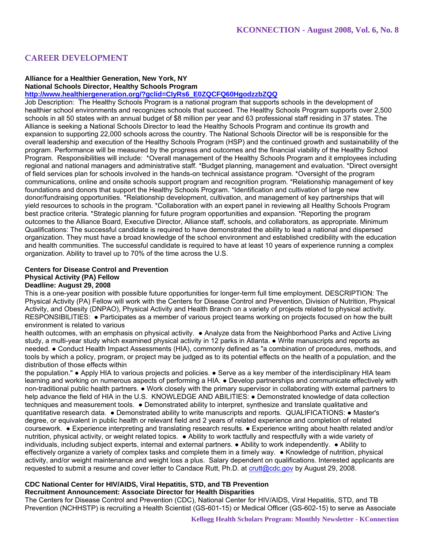# **CAREER DEVELOPMENT**

# **Alliance for a Healthier Generation, New York, NY National Schools Director, Healthy Schools Program**

**http://www.healthiergeneration.org/?gclid=CIyRs6\_E0ZQCFQ60HgodzzbZQQ**

Job Description: The Healthy Schools Program is a national program that supports schools in the development of healthier school environments and recognizes schools that succeed. The Healthy Schools Program supports over 2,500 schools in all 50 states with an annual budget of \$8 million per year and 63 professional staff residing in 37 states. The Alliance is seeking a National Schools Director to lead the Healthy Schools Program and continue its growth and expansion to supporting 22,000 schools across the country. The National Schools Director will be is responsible for the overall leadership and execution of the Healthy Schools Program (HSP) and the continued growth and sustainability of the program. Performance will be measured by the progress and outcomes and the financial viability of the Healthy School Program. Responsibilities will include: \*Overall management of the Healthy Schools Program and it employees including regional and national managers and administrative staff. \*Budget planning, management and evaluation. \*Direct oversight of field services plan for schools involved in the hands-on technical assistance program. \*Oversight of the program communications, online and onsite schools support program and recognition program. \*Relationship management of key foundations and donors that support the Healthy Schools Program. \*Identification and cultivation of large new donor/fundraising opportunities. \*Relationship development, cultivation, and management of key partnerships that will yield resources to schools in the program. \*Collaboration with an expert panel in reviewing all Healthy Schools Program best practice criteria. \*Strategic planning for future program opportunities and expansion. \*Reporting the program outcomes to the Alliance Board, Executive Director, Alliance staff, schools, and collaborators, as appropriate. Minimum Qualifications: The successful candidate is required to have demonstrated the ability to lead a national and dispersed organization. They must have a broad knowledge of the school environment and established credibility with the education and health communities. The successful candidate is required to have at least 10 years of experience running a complex organization. Ability to travel up to 70% of the time across the U.S.

# **Centers for Disease Control and Prevention Physical Activity (PA) Fellow Deadline: August 29, 2008**

This is a one-year position with possible future opportunities for longer-term full time employment. DESCRIPTION: The Physical Activity (PA) Fellow will work with the Centers for Disease Control and Prevention, Division of Nutrition, Physical Activity, and Obesity (DNPAO), Physical Activity and Health Branch on a variety of projects related to physical activity. RESPONSIBILITIES: ● Participates as a member of various project teams working on projects focused on how the built environment is related to various

health outcomes, with an emphasis on physical activity. • Analyze data from the Neighborhood Parks and Active Living study, a multi-year study which examined physical activity in 12 parks in Atlanta. ● Write manuscripts and reports as needed. ● Conduct Health Impact Assessments (HIA), commonly defined as "a combination of procedures, methods, and tools by which a policy, program, or project may be judged as to its potential effects on the health of a population, and the distribution of those effects within

the population." ● Apply HIA to various projects and policies. ● Serve as a key member of the interdisciplinary HIA team learning and working on numerous aspects of performing a HIA. ● Develop partnerships and communicate effectively with non-traditional public health partners. ● Work closely with the primary supervisor in collaborating with external partners to help advance the field of HIA in the U.S. KNOWLEDGE AND ABILITIES: ● Demonstrated knowledge of data collection techniques and measurement tools. ● Demonstrated ability to interpret, synthesize and translate qualitative and quantitative research data. ● Demonstrated ability to write manuscripts and reports. QUALIFICATIONS: ● Master's degree, or equivalent in public health or relevant field and 2 years of related experience and completion of related coursework. ● Experience interpreting and translating research results. ● Experience writing about health related and/or nutrition, physical activity, or weight related topics. ● Ability to work tactfully and respectfully with a wide variety of individuals, including subject experts, internal and external partners. ● Ability to work independently. ● Ability to effectively organize a variety of complex tasks and complete them in a timely way. ● Knowledge of nutrition, physical activity, and/or weight maintenance and weight loss a plus. Salary dependent on qualifications. Interested applicants are requested to submit a resume and cover letter to Candace Rutt, Ph.D. at crutt@cdc.gov by August 29, 2008.

# **CDC National Center for HIV/AIDS, Viral Hepatitis, STD, and TB Prevention**

#### **Recruitment Announcement: Associate Director for Health Disparities**

The Centers for Disease Control and Prevention (CDC), National Center for HIV/AIDS, Viral Hepatitis, STD, and TB Prevention (NCHHSTP) is recruiting a Health Scientist (GS-601-15) or Medical Officer (GS-602-15) to serve as Associate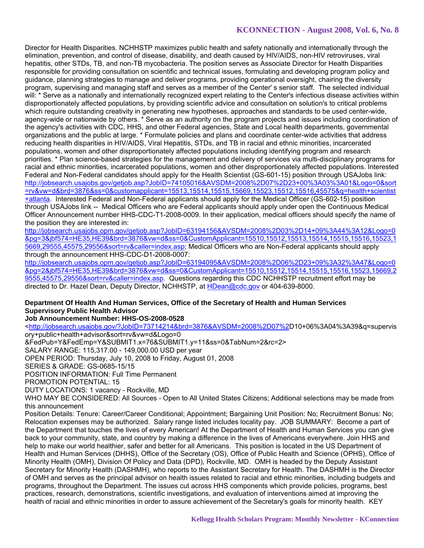# **KCONNECTION - August 2008, Vol. 6, No. 8**

Director for Health Disparities. NCHHSTP maximizes public health and safety nationally and internationally through the elimination, prevention, and control of disease, disability, and death caused by HIV/AIDS, non-HIV retroviruses, viral hepatitis, other STDs, TB, and non-TB mycobacteria. The position serves as Associate Director for Health Disparities responsible for providing consultation on scientific and technical issues, formulating and developing program policy and guidance, planning strategies to manage and deliver programs, providing operational oversight, chairing the diversity program, supervising and managing staff and serves as a member of the Center' s senior staff. The selected individual will: \* Serve as a nationally and internationally recognized expert relating to the Center's infectious disease activities within disproportionately affected populations, by providing scientific advice and consultation on solution's to critical problems which require outstanding creativity in generating new hypotheses, approaches and standards to be used center-wide, agency-wide or nationwide by others. \* Serve as an authority on the program projects and issues including coordination of the agency's activities with CDC, HHS, and other Federal agencies, State and Local health departments, governmental organizations and the public at large. \* Formulate policies and plans and coordinate center-wide activities that address reducing health disparities in HIV/AIDS, Viral Hepatitis, STDs, and TB in racial and ethnic minorities, incarcerated populations, women and other disproportionately affected populations including identifying program and research priorities. \* Plan science-based strategies for the management and delivery of services via multi-disciplinary programs for racial and ethnic minorities, incarcerated populations, women and other disproportionately affected populations. Interested Federal and Non-Federal candidates should apply for the Health Scientist (GS-601-15) position through USAJobs link: http://jobsearch.usajobs.gov/getjob.asp?JobID=74105016&AVSDM=2008%2D07%2D23+00%3A03%3A01&Logo=0&sort =rv&vw=d&brd=3876&ss=0&customapplicant=15513,15514,15515,15669,15523,15512,15516,45575&q=health+scientist +atlanta. Interested Federal and Non-Federal applicants should apply for the Medical Officer (GS-602-15) position through USAJobs link -- Medical Officers who are Federal applicants should apply under open the Continuous Medical Officer Announcement number HHS-CDC-T1-2008-0009. In their application, medical officers should specify the name of the position they are interested in:

http://jobsearch.usajobs.opm.gov/getjob.asp?JobID=63194156&AVSDM=2008%2D03%2D14+09%3A44%3A12&Logo=0 &pg=3&jbf574=HE35,HE39&brd=3876&vw=d&ss=0&CustomApplicant=15510,15512,15513,15514,15515,15516,15523,1 5669,29555,45575,29556&sort=rv&caller=index.asp; Medical Officers who are Non-Federal applicants should apply through the announcement HHS-CDC-D1-2008-0007:

http://jobsearch.usajobs.opm.gov/getjob.asp?JobID=63194095&AVSDM=2008%2D06%2D23+09%3A32%3A47&Logo=0 &pg=2&jbf574=HE35,HE39&brd=3876&vw=d&ss=0&CustomApplicant=15510,15512,15514,15515,15516,15523,15669,2 9555,45575,29556&sort=rv&caller=index.asp. Questions regarding this CDC NCHHSTP recruitment effort may be directed to Dr. Hazel Dean, Deputy Director, NCHHSTP, at HDean@cdc.gov or 404-639-8000.

# **Department Of Health And Human Services, Office of the Secretary of Health and Human Services Supervisory Public Health Advisor**

#### **Job Announcement Number: HHS-OS-2008-0528**

<http://jobsearch.usajobs.gov/?JobID=73714214&brd=3876&AVSDM=2008%2D07%2D10+06%3A04%3A39&q=supervis ory+public+health+advisor&sort=rv&vw=d&Logo=0

&FedPub=Y&FedEmp=Y&SUBMIT1.x=76&SUBMIT1.y=11&ss=0&TabNum=2&rc=2>

SALARY RANGE: 115,317.00 - 149,000.00 USD per year

OPEN PERIOD: Thursday, July 10, 2008 to Friday, August 01, 2008

SERIES & GRADE: GS-0685-15/15

POSITION INFORMATION: Full Time Permanent

PROMOTION POTENTIAL: 15

DUTY LOCATIONS: 1 vacancy - Rockville, MD

WHO MAY BE CONSIDERED: All Sources - Open to All United States Citizens; Additional selections may be made from this announcement

Position Details: Tenure: Career/Career Conditional; Appointment; Bargaining Unit Position: No; Recruitment Bonus: No; Relocation expenses may be authorized. Salary range listed includes locality pay. JOB SUMMARY: Become a part of the Department that touches the lives of every American! At the Department of Health and Human Services you can give back to your community, state, and country by making a difference in the lives of Americans everywhere. Join HHS and help to make our world healthier, safer and better for all Americans. This position is located in the US Department of Health and Human Services (DHHS), Office of the Secretary (OS), Office of Public Health and Science (OPHS), Office of Minority Health (OMH), Division Of Policy and Data (DPD), Rockville, MD. OMH is headed by the Deputy Assistant Secretary for Minority Health (DASHMH), who reports to the Assistant Secretary for Health. The DASHMH is the Director of OMH and serves as the principal advisor on health issues related to racial and ethnic minorities, including budgets and programs, throughout the Department. The issues cut across HHS components which provide policies, programs, best practices, research, demonstrations, scientific investigations, and evaluation of interventions aimed at improving the health of racial and ethnic minorities in order to assure achievement of the Secretary's goals for minority health. KEY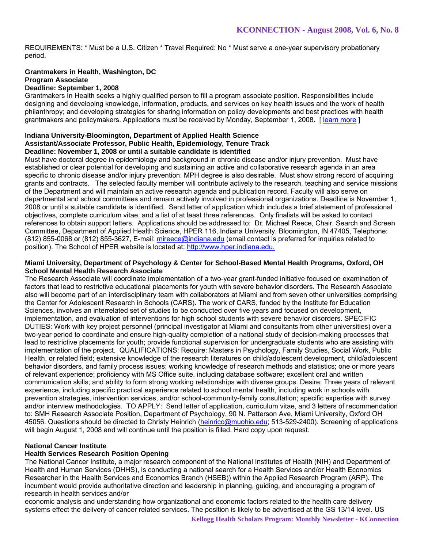REQUIREMENTS: \* Must be a U.S. Citizen \* Travel Required: No \* Must serve a one-year supervisory probationary period.

# **Grantmakers in Health, Washington, DC Program Associate**

# **Deadline: September 1, 2008**

Grantmakers In Health seeks a highly qualified person to fill a program associate position. Responsibilities include designing and developing knowledge, information, products, and services on key health issues and the work of health philanthropy; and developing strategies for sharing information on policy developments and best practices with health grantmakers and policymakers. Applications must be received by Monday, September 1, 2008**.** [ learn more ]

#### **Indiana University-Bloomington, Department of Applied Health Science Assistant/Associate Professor, Public Health, Epidemiology, Tenure Track Deadline: November 1, 2008 or until a suitable candidate is identified**

Must have doctoral degree in epidemiology and background in chronic disease and/or injury prevention. Must have established or clear potential for developing and sustaining an active and collaborative research agenda in an area specific to chronic disease and/or injury prevention. MPH degree is also desirable. Must show strong record of acquiring grants and contracts. The selected faculty member will contribute actively to the research, teaching and service missions of the Department and will maintain an active research agenda and publication record. Faculty will also serve on departmental and school committees and remain actively involved in professional organizations. Deadline is November 1, 2008 or until a suitable candidate is identified. Send letter of application which includes a brief statement of professional objectives, complete curriculum vitae, and a list of at least three references. Only finalists will be asked to contact references to obtain support letters. Applications should be addressed to: Dr. Michael Reece, Chair, Search and Screen Committee, Department of Applied Health Science, HPER 116, Indiana University, Bloomington, IN 47405, Telephone: (812) 855-0068 or (812) 855-3627, E-mail: mireece@indiana.edu (email contact is preferred for inquiries related to position). The School of HPER website is located at: http://www.hper.indiana.edu.

#### **Miami University, Department of Psychology & Center for School-Based Mental Health Programs, Oxford, OH School Mental Health Research Associate**

The Research Associate will coordinate implementation of a two-year grant-funded initiative focused on examination of factors that lead to restrictive educational placements for youth with severe behavior disorders. The Research Associate also will become part of an interdisciplinary team with collaborators at Miami and from seven other universities comprising the Center for Adolescent Research in Schools (CARS). The work of CARS, funded by the Institute for Education Sciences, involves an interrelated set of studies to be conducted over five years and focused on development, implementation, and evaluation of interventions for high school students with severe behavior disorders. SPECIFIC DUTIES: Work with key project personnel (principal investigator at Miami and consultants from other universities) over a two-year period to coordinate and ensure high-quality completion of a national study of decision-making processes that lead to restrictive placements for youth; provide functional supervision for undergraduate students who are assisting with implementation of the project. QUALIFICATIONS: Require: Masters in Psychology, Family Studies, Social Work, Public Health, or related field; extensive knowledge of the research literatures on child/adolescent development, child/adolescent behavior disorders, and family process issues; working knowledge of research methods and statistics; one or more years of relevant experience; proficiency with MS Office suite, including database software; excellent oral and written communication skills; and ability to form strong working relationships with diverse groups. Desire: Three years of relevant experience, including specific practical experience related to school mental health, including work in schools with prevention strategies, intervention services, and/or school-community-family consultation; specific expertise with survey and/or interview methodologies. TO APPLY: Send letter of application, curriculum vitae, and 3 letters of recommendation to: SMH Research Associate Position, Department of Psychology, 90 N. Patterson Ave, Miami University, Oxford OH 45056. Questions should be directed to Christy Heinrich (heinricc@muohio.edu; 513-529-2400). Screening of applications will begin August 1, 2008 and will continue until the position is filled. Hard copy upon request.

#### **National Cancer Institute**

# **Health Services Research Position Opening**

The National Cancer Institute, a major research component of the National Institutes of Health (NIH) and Department of Health and Human Services (DHHS), is conducting a national search for a Health Services and/or Health Economics Researcher in the Health Services and Economics Branch (HSEB)) within the Applied Research Program (ARP). The incumbent would provide authoritative direction and leadership in planning, guiding, and encouraging a program of research in health services and/or

economic analysis and understanding how organizational and economic factors related to the health care delivery systems effect the delivery of cancer related services. The position is likely to be advertised at the GS 13/14 level. US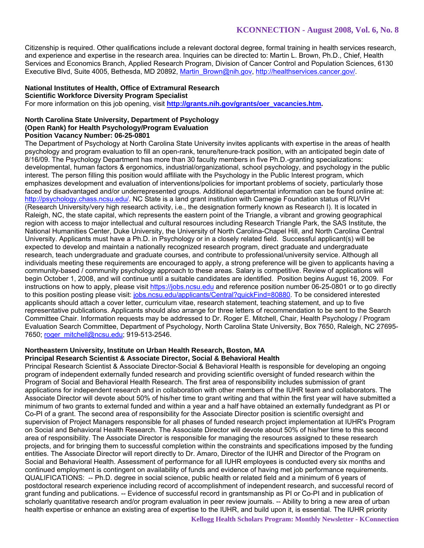Citizenship is required. Other qualifications include a relevant doctoral degree, formal training in health services research, and experience and expertise in the research area. Inquiries can be directed to: Martin L. Brown, Ph.D., Chief, Health Services and Economics Branch, Applied Research Program, Division of Cancer Control and Population Sciences, 6130 Executive Blvd, Suite 4005, Bethesda, MD 20892, Martin\_Brown@nih.gov, http://healthservices.cancer.gov/.

# **National Institutes of Health, Office of Extramural Research**

**Scientific Workforce Diversity Program Specialist** 

For more information on this job opening, visit http://grants.nih.gov/grants/oer\_vacancies.htm.

#### **North Carolina State University, Department of Psychology (Open Rank) for Health Psychology/Program Evaluation Position Vacancy Number: 06-25-0801**

The Department of Psychology at North Carolina State University invites applicants with expertise in the areas of health psychology and program evaluation to fill an open-rank, tenure/tenure-track position, with an anticipated begin date of 8/16/09. The Psychology Department has more than 30 faculty members in five Ph.D.-granting specializations: developmental, human factors & ergonomics, industrial/organizational, school psychology, and psychology in the public interest. The person filling this position would affiliate with the Psychology in the Public Interest program, which emphasizes development and evaluation of interventions/policies for important problems of society, particularly those faced by disadvantaged and/or underrepresented groups. Additional departmental information can be found online at: http://psychology.chass.ncsu.edu/. NC State is a land grant institution with Carnegie Foundation status of RU/VH (Research University/very high research activity, i.e., the designation formerly known as Research I). It is located in Raleigh, NC, the state capital, which represents the eastern point of the Triangle, a vibrant and growing geographical region with access to major intellectual and cultural resources including Research Triangle Park, the SAS Institute, the National Humanities Center, Duke University, the University of North Carolina-Chapel Hill, and North Carolina Central University. Applicants must have a Ph.D. in Psychology or in a closely related field. Successful applicant(s) will be expected to develop and maintain a nationally recognized research program, direct graduate and undergraduate research, teach undergraduate and graduate courses, and contribute to professional/university service. Although all individuals meeting these requirements are encouraged to apply, a strong preference will be given to applicants having a community-based / community psychology approach to these areas. Salary is competitive. Review of applications will begin October 1, 2008, and will continue until a suitable candidates are identified. Position begins August 16, 2009. For instructions on how to apply, please visit https://jobs.ncsu.edu and reference position number 06-25-0801 or to go directly to this position posting please visit: jobs.ncsu.edu/applicants/Central?quickFind=80880. To be considered interested applicants should attach a cover letter, curriculum vitae, research statement, teaching statement, and up to five representative publications. Applicants should also arrange for three letters of recommendation to be sent to the Search Committee Chair. Information requests may be addressed to Dr. Roger E. Mitchell, Chair, Health Psychology / Program Evaluation Search Committee, Department of Psychology, North Carolina State University, Box 7650, Raleigh, NC 27695- 7650; roger\_mitchell@ncsu.edu; 919-513-2546.

### **Northeastern University, Institute on Urban Health Research, Boston, MA Principal Research Scientist & Associate Director, Social & Behavioral Health**

Principal Research Scientist & Associate Director-Social & Behavioral Health is responsible for developing an ongoing program of independent externally funded research and providing scientific oversight of funded research within the Program of Social and Behavioral Health Research. The first area of responsibility includes submission of grant applications for independent research and in collaboration with other members of the IUHR team and collaborators. The Associate Director will devote about 50% of his/her time to grant writing and that within the first year will have submitted a minimum of two grants to external funded and within a year and a half have obtained an externally fundedgrant as PI or Co-PI of a grant. The second area of responsibility for the Associate Director position is scientific oversight and supervision of Project Managers responsible for all phases of funded research project implementation at IUHR's Program on Social and Behavioral Health Research. The Associate Director will devote about 50% of his/her time to this second area of responsibility. The Associate Director is responsible for managing the resources assigned to these research projects, and for bringing them to successful completion within the constraints and specifications imposed by the funding entities. The Associate Director will report directly to Dr. Amaro, Director of the IUHR and Director of the Program on Social and Behavioral Health. Assessment of performance for all IUHR employees is conducted every six months and continued employment is contingent on availability of funds and evidence of having met job performance requirements. QUALIFICATIONS: -- Ph.D. degree in social science, public health or related field and a minimum of 6 years of postdoctoral research experience including record of accomplishment of independent research, and successful record of grant funding and publications. -- Evidence of successful record in grantsmanship as PI or Co-PI and in publication of scholarly quantitative research and/or program evaluation in peer review journals. -- Ability to bring a new area of urban health expertise or enhance an existing area of expertise to the IUHR, and build upon it, is essential. The IUHR priority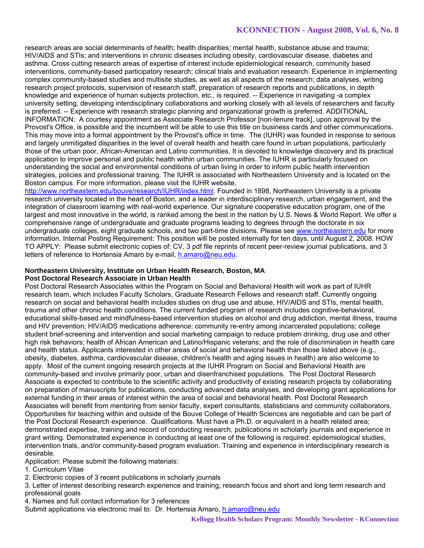# **KCONNECTION - August 2008, Vol. 6, No. 8**

research areas are social determinants of health; health disparities; mental health, substance abuse and trauma; HIV/AIDS and STIs; and interventions in chronic diseases including obesity, cardiovascular disease, diabetes and asthma. Cross cutting research areas of expertise of interest include epidemiological research, community based interventions, community-based participatory research; clinical trials and evaluation research. Experience in implementing complex community-based studies and multisite studies, as well as all aspects of the research; data analyses, writing research project protocols, supervision of research staff, preparation of research reports and publications, in depth knowledge and experience of human subjects protection, etc., is required. -- Experience in navigating -a complex university setting, developing interdisciplinary collaborations and working closely with all levels of researchers and faculty is preferred. -- Experience with research strategic planning and organizational growth is preferred. ADDITIONAL INFORMATION: A courtesy appointment as Associate Research Professor [non-tenure track], upon approval by the Provost's Office, is possible and the incumbent will be able to use this title on business cards and other communications. This may move into a formal appointment by the Provost's office in time. The (IUHR) was founded in response to serious and largely unmitigated disparities in the level of overall health and health care found in urban populations, particularly those of the urban poor, African-American and Latino communities. It is devoted to knowledge discovery and its practical application to improve personal and public health within urban communities. The IUHR is particularly focused on understanding the social and environmental conditions of urban living in order to inform public health intervention strategies, policies and professional training. The IUHR is associated with Northeastern University and is located on the Boston campus. For more information, please visit the IUHR website,

http://www.northeastern.edu/bouve/research/IUHR/index.html. Founded in 1898, Northeastern University is a private research university located in the heart of Boston, and a leader in interdisciplinary research, urban engagement, and the integration of classroom learning with real-world experience. Our signature cooperative education program, one of the largest and most innovative in the world, is ranked among the best in the nation by U.S. News & World Report. We offer a comprehensive range of undergraduate and graduate programs leading to degrees through the doctorate in six undergraduate colleges, eight graduate schools, and two part-time divisions. Please see www.northeastern.edu for more information. Internal Posting Requirement: This position will be posted internally for ten days, until August 2, 2008. HOW TO APPLY: Please submit electronic copies of: CV, 3 pdf file reprints of recent peer-review journal publications, and 3 letters of reference to Hortensia Amaro by e-mail, h.amaro@neu.edu.

#### **Northeastern University, Institute on Urban Health Research, Boston, MA Post Doctoral Research Associate in Urban Health**

Post Doctoral Research Associates within the Program on Social and Behavioral Health will work as part of IUHR research team, which includes Faculty Scholars, Graduate Research Fellows and research staff. Currently ongoing research on social and behavioral health includes studies on drug use and abuse, HIV/AIDS and STIs, mental health, trauma and other chronic health conditions. The current funded program of research includes cognitive-behavioral, educational skills-based and mindfulness-based intervention studies on alcohol and drug addiction, mental illness, trauma and HIV prevention; HIV/AIDS medications adherence; community re-entry among incarcerated populations; college student brief-screening and intervention and social marketing campaign to reduce problem drinking, drug use and other high risk behaviors; health of African American and Latino/Hispanic veterans; and the role of discrimination in health care and health status. Applicants interested in other areas of social and behavioral health than those listed above (e.g., obesity, diabetes, asthma, cardiovascular disease, children's health and aging issues in health) are also welcome to apply. Most of the current ongoing research projects at the IUHR Program on Social and Behavioral Health are community-based and involve primarily poor, urban and disenfranchised populations. The Post Doctoral Research Associate is expected to contribute to the scientific activity and productivity of existing research projects by collaborating on preparation of manuscripts for publications, conducting advanced data analyses, and developing grant applications for external funding in their areas of interest within the area of social and behavioral health. Post Doctoral Research Associates will benefit from mentoring from senior faculty, expert consultants, statisticians and community collaborators. Opportunities for teaching within and outside of the Bouve College of Health Sciences are negotiable and can be part of the Post Doctoral Research experience. Qualifications. Must have a Ph.D. or equivalent in a health related area; demonstrated expertise, training and record of conducting research, publications in scholarly journals and experience in grant writing. Demonstrated experience in conducting at least one of the following is required: epidemiological studies, intervention trials, and/or community-based program evaluation. Training and experience in interdisciplinary research is desirable.

Application: Please submit the following materials:

1. Curriculum Vitae

2. Electronic copies of 3 recent publications in scholarly journals

3. Letter of interest describing research experience and training, research focus and short and long term research and professional goals

4. Names and full contact information for 3 references

Submit applications via electronic mail to: Dr. Hortensia Amaro, h.amaro@neu.edu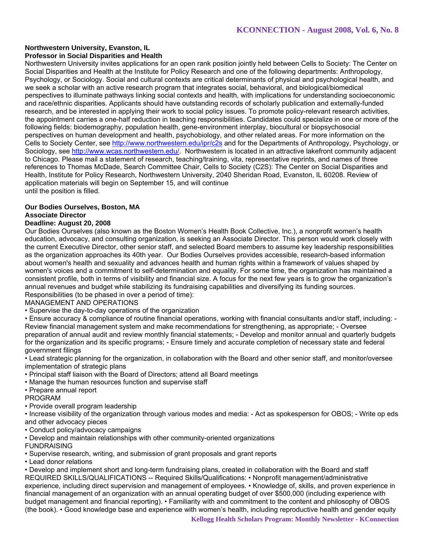### **Northwestern University, Evanston, IL Professor in Social Disparities and Health**

Northwestern University invites applications for an open rank position jointly held between Cells to Society: The Center on Social Disparities and Health at the Institute for Policy Research and one of the following departments: Anthropology, Psychology, or Sociology. Social and cultural contexts are critical determinants of physical and psychological health, and we seek a scholar with an active research program that integrates social, behavioral, and biological/biomedical perspectives to illuminate pathways linking social contexts and health, with implications for understanding socioeconomic and race/ethnic disparities. Applicants should have outstanding records of scholarly publication and externally-funded research, and be interested in applying their work to social policy issues. To promote policy-relevant research activities, the appointment carries a one-half reduction in teaching responsibilities. Candidates could specialize in one or more of the following fields: biodemography, population health, gene-environment interplay, biocultural or biopsychosocial perspectives on human development and health, psychobiology, and other related areas. For more information on the Cells to Society Center, see http://www.northwestern.edu/ipr/c2s and for the Departments of Anthropology, Psychology, or Sociology, see http://www.wcas.northwestern.edu/. Northwestern is located in an attractive lakefront community adjacent to Chicago. Please mail a statement of research, teaching/training, vita, representative reprints, and names of three references to Thomas McDade, Search Committee Chair, Cells to Society (C2S): The Center on Social Disparities and Health, Institute for Policy Research, Northwestern University, 2040 Sheridan Road, Evanston, IL 60208. Review of application materials will begin on September 15, and will continue until the position is filled.

#### **Our Bodies Ourselves, Boston, MA Associate Director**

# **Deadline: August 20, 2008**

Our Bodies Ourselves (also known as the Boston Women's Health Book Collective, Inc.), a nonprofit women's health education, advocacy, and consulting organization, is seeking an Associate Director. This person would work closely with the current Executive Director, other senior staff, and selected Board members to assume key leadership responsibilities as the organization approaches its 40th year. Our Bodies Ourselves provides accessible, research-based information about women's health and sexuality and advances health and human rights within a framework of values shaped by women's voices and a commitment to self-determination and equality. For some time, the organization has maintained a consistent profile, both in terms of visibility and financial size. A focus for the next few years is to grow the organization's annual revenues and budget while stabilizing its fundraising capabilities and diversifying its funding sources.

Responsibilities (to be phased in over a period of time):

MANAGEMENT AND OPERATIONS

• Supervise the day-to-day operations of the organization

• Ensure accuracy & compliance of routine financial operations, working with financial consultants and/or staff, including: - Review financial management system and make recommendations for strengthening, as appropriate; - Oversee preparation of annual audit and review monthly financial statements; - Develop and monitor annual and quarterly budgets for the organization and its specific programs; - Ensure timely and accurate completion of necessary state and federal government filings

• Lead strategic planning for the organization, in collaboration with the Board and other senior staff, and monitor/oversee implementation of strategic plans

- Principal staff liaison with the Board of Directors; attend all Board meetings
- Manage the human resources function and supervise staff

• Prepare annual report

PROGRAM

• Provide overall program leadership

• Increase visibility of the organization through various modes and media: - Act as spokesperson for OBOS; - Write op eds and other advocacy pieces

• Conduct policy/advocacy campaigns

• Develop and maintain relationships with other community-oriented organizations

FUNDRAISING

• Supervise research, writing, and submission of grant proposals and grant reports

• Lead donor relations

• Develop and implement short and long-term fundraising plans, created in collaboration with the Board and staff REQUIRED SKILLS/QUALIFICATIONS -- Required Skills/Qualifications: • Nonprofit management/administrative experience, including direct supervision and management of employees. • Knowledge of, skills, and proven experience in financial management of an organization with an annual operating budget of over \$500,000 (including experience with budget management and financial reporting). • Familiarity with and commitment to the content and philosophy of OBOS (the book). • Good knowledge base and experience with women's health, including reproductive health and gender equity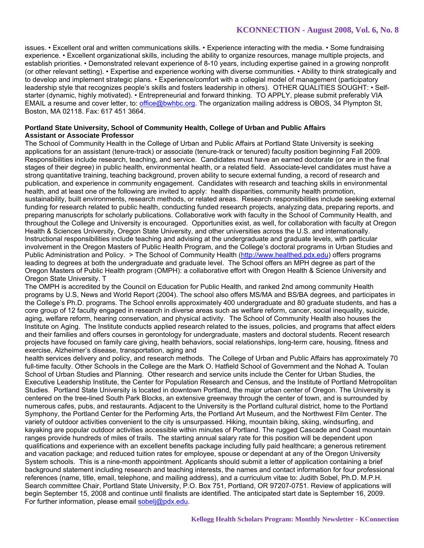# **KCONNECTION - August 2008, Vol. 6, No. 8**

issues. • Excellent oral and written communications skills. • Experience interacting with the media. • Some fundraising experience. • Excellent organizational skills, including the ability to organize resources, manage multiple projects, and establish priorities. • Demonstrated relevant experience of 8-10 years, including expertise gained in a growing nonprofit (or other relevant setting). • Expertise and experience working with diverse communities. • Ability to think strategically and to develop and implement strategic plans. • Experience/comfort with a collegial model of management (participatory leadership style that recognizes people's skills and fosters leadership in others). OTHER QUALITIES SOUGHT: • Selfstarter (dynamic, highly motivated). • Entrepreneurial and forward thinking. TO APPLY, please submit preferably VIA EMAIL a resume and cover letter, to: office@bwhbc.org. The organization mailing address is OBOS, 34 Plympton St, Boston, MA 02118. Fax: 617 451 3664.

#### **Portland State University, School of Community Health, College of Urban and Public Affairs Assistant or Associate Professor**

The School of Community Health in the College of Urban and Public Affairs at Portland State University is seeking applications for an assistant (tenure-track) or associate (tenure-track or tenured) faculty position beginning Fall 2009. Responsibilities include research, teaching, and service. Candidates must have an earned doctorate (or are in the final stages of their degree) in public health, environmental health, or a related field. Associate-level candidates must have a strong quantitative training, teaching background, proven ability to secure external funding, a record of research and publication, and experience in community engagement. Candidates with research and teaching skills in environmental health, and at least one of the following are invited to apply: health disparities, community health promotion, sustainability, built environments, research methods, or related areas. Research responsibilities include seeking external funding for research related to public health, conducting funded research projects, analyzing data, preparing reports, and preparing manuscripts for scholarly publications. Collaborative work with faculty in the School of Community Health, and throughout the College and University is encouraged. Opportunities exist, as well, for collaboration with faculty at Oregon Health & Sciences University, Oregon State University, and other universities across the U.S. and internationally. Instructional responsibilities include teaching and advising at the undergraduate and graduate levels, with particular involvement in the Oregon Masters of Public Health Program, and the College's doctoral programs in Urban Studies and Public Administration and Policy. > The School of Community Health (http://www.healthed.pdx.edu) offers programs leading to degrees at both the undergraduate and graduate level. The School offers an MPH degree as part of the Oregon Masters of Public Health program (OMPH): a collaborative effort with Oregon Health & Science University and Oregon State University. T

The OMPH is accredited by the Council on Education for Public Health, and ranked 2nd among community Health programs by U.S, News and World Report (2004). The school also offers MS/MA and BS/BA degrees, and participates in the College's Ph.D. programs. The School enrolls approximately 400 undergraduate and 80 graduate students, and has a core group of 12 faculty engaged in research in diverse areas such as welfare reform, cancer, social inequality, suicide, aging, welfare reform, hearing conservation, and physical activity. The School of Community Health also houses the Institute on Aging. The Institute conducts applied research related to the issues, policies, and programs that affect elders and their families and offers courses in gerontology for undergraduate, masters and doctoral students. Recent research projects have focused on family care giving, health behaviors, social relationships, long-term care, housing, fitness and exercise, Alzheimer's disease, transportation, aging and

health services delivery and policy, and research methods. The College of Urban and Public Affairs has approximately 70 full-time faculty. Other Schools in the College are the Mark O. Hatfield School of Government and the Nohad A. Toulan School of Urban Studies and Planning. Other research and service units include the Center for Urban Studies, the Executive Leadership Institute, the Center for Population Research and Census, and the Institute of Portland Metropolitan Studies. Portland State University is located in downtown Portland, the major urban center of Oregon. The University is centered on the tree-lined South Park Blocks, an extensive greenway through the center of town, and is surrounded by numerous cafes, pubs, and restaurants. Adjacent to the University is the Portland cultural district, home to the Portland Symphony, the Portland Center for the Performing Arts, the Portland Art Museum, and the Northwest Film Center. The variety of outdoor activities convenient to the city is unsurpassed. Hiking, mountain biking, skiing, windsurfing, and kayaking are popular outdoor activities accessible within minutes of Portland. The rugged Cascade and Coast mountain ranges provide hundreds of miles of trails. The starting annual salary rate for this position will be dependent upon qualifications and experience with an excellent benefits package including fully paid healthcare; a generous retirement and vacation package; and reduced tuition rates for employee, spouse or dependant at any of the Oregon University System schools. This is a nine-month appointment. Applicants should submit a letter of application containing a brief background statement including research and teaching interests, the names and contact information for four professional references (name, title, email, telephone, and mailing address), and a curriculum vitae to: Judith Sobel, Ph.D. M.P.H. Search committee Chair, Portland State University, P.O. Box 751, Portland, OR 97207-0751. Review of applications will begin September 15, 2008 and continue until finalists are identified. The anticipated start date is September 16, 2009. For further information, please email sobelj@pdx.edu.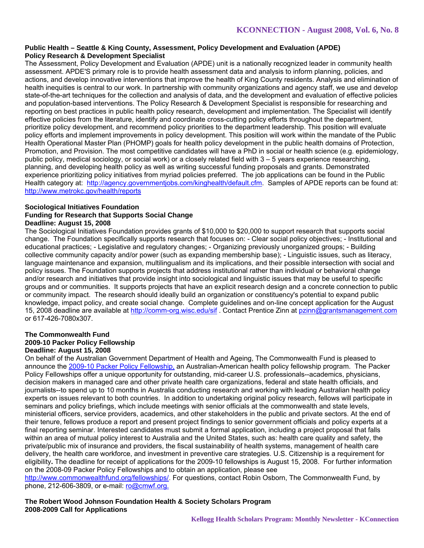#### **Public Health – Seattle & King County, Assessment, Policy Development and Evaluation (APDE) Policy Research & Development Specialist**

The Assessment, Policy Development and Evaluation (APDE) unit is a nationally recognized leader in community health assessment. APDE'S primary role is to provide health assessment data and analysis to inform planning, policies, and actions, and develop innovative interventions that improve the health of King County residents. Analysis and elimination of health inequities is central to our work. In partnership with community organizations and agency staff, we use and develop state-of-the-art techniques for the collection and analysis of data, and the development and evaluation of effective policies and population-based interventions. The Policy Research & Development Specialist is responsible for researching and reporting on best practices in public health policy research, development and implementation. The Specialist will identify effective policies from the literature, identify and coordinate cross-cutting policy efforts throughout the department, prioritize policy development, and recommend policy priorities to the department leadership. This position will evaluate policy efforts and implement improvements in policy development. This position will work within the mandate of the Public Health Operational Master Plan (PHOMP) goals for health policy development in the public health domains of Protection, Promotion, and Provision. The most competitive candidates will have a PhD in social or health science (e.g. epidemiology, public policy, medical sociology, or social work) or a closely related field with 3 – 5 years experience researching, planning, and developing health policy as well as writing successful funding proposals and grants. Demonstrated experience prioritizing policy initiatives from myriad policies preferred. The job applications can be found in the Public Health category at: http://agency.governmentjobs.com/kinghealth/default.cfm. Samples of APDE reports can be found at: http://www.metrokc.gov/health/reports

#### **Sociological Initiatives Foundation Funding for Research that Supports Social Change Deadline: August 15, 2008**

The Sociological Initiatives Foundation provides grants of \$10,000 to \$20,000 to support research that supports social change. The Foundation specifically supports research that focuses on: - Clear social policy objectives; - Institutional and educational practices; - Legislative and regulatory changes; - Organizing previously unorganized groups; - Building collective community capacity and/or power (such as expanding membership base); - Linguistic issues, such as literacy, language maintenance and expansion, multilingualism and its implications, and their possible intersection with social and policy issues. The Foundation supports projects that address institutional rather than individual or behavioral change and/or research and initiatives that provide insight into sociological and linguistic issues that may be useful to specific groups and or communities. It supports projects that have an explicit research design and a concrete connection to public or community impact. The research should ideally build an organization or constituency's potential to expand public knowledge, impact policy, and create social change. Complete guidelines and on-line concept application for the August 15, 2008 deadline are available at http://comm-org.wisc.edu/sif . Contact Prentice Zinn at pzinn@grantsmanagement.com or 617-426-7080x307.

#### **The Commonwealth Fund 2009-10 Packer Policy Fellowship Deadline: August 15, 2008**

On behalf of the Australian Government Department of Health and Ageing, The Commonwealth Fund is pleased to announce the 2009-10 Packer Policy Fellowship, an Australian-American health policy fellowship program. The Packer Policy Fellowships offer a unique opportunity for outstanding, mid-career U.S. professionals--academics, physicians, decision makers in managed care and other private health care organizations, federal and state health officials, and journalists--to spend up to 10 months in Australia conducting research and working with leading Australian health policy experts on issues relevant to both countries. In addition to undertaking original policy research, fellows will participate in seminars and policy briefings, which include meetings with senior officials at the commonwealth and state levels, ministerial officers, service providers, academics, and other stakeholders in the public and private sectors. At the end of their tenure, fellows produce a report and present project findings to senior government officials and policy experts at a final reporting seminar. Interested candidates must submit a formal application, including a project proposal that falls within an area of mutual policy interest to Australia and the United States, such as: health care quality and safety, the private/public mix of insurance and providers, the fiscal sustainability of health systems, management of health care delivery, the health care workforce, and investment in preventive care strategies. U.S. Citizenship is a requirement for eligibility**.** The deadline for receipt of applications for the 2009-10 fellowships is August 15, 2008. For further information on the 2008-09 Packer Policy Fellowships and to obtain an application, please see

http://www.commonwealthfund.org/fellowships/. For questions, contact Robin Osborn, The Commonwealth Fund, by phone, 212-606-3809, or e-mail: ro@cmwf.org.

# **The Robert Wood Johnson Foundation Health & Society Scholars Program 2008-2009 Call for Applications**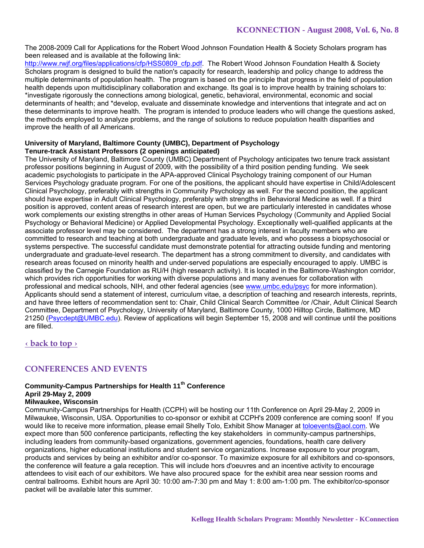The 2008-2009 Call for Applications for the Robert Wood Johnson Foundation Health & Society Scholars program has been released and is available at the following link:

http://www.rwjf.org/files/applications/cfp/HSS0809\_cfp.pdf. The Robert Wood Johnson Foundation Health & Society Scholars program is designed to build the nation's capacity for research, leadership and policy change to address the multiple determinants of population health. The program is based on the principle that progress in the field of population health depends upon multidisciplinary collaboration and exchange. Its goal is to improve health by training scholars to: \*investigate rigorously the connections among biological, genetic, behavioral, environmental, economic and social determinants of health; and \*develop, evaluate and disseminate knowledge and interventions that integrate and act on these determinants to improve health. The program is intended to produce leaders who will change the questions asked, the methods employed to analyze problems, and the range of solutions to reduce population health disparities and improve the health of all Americans.

#### **University of Maryland, Baltimore County (UMBC), Department of Psychology Tenure-track Assistant Professors (2 openings anticipated)**

The University of Maryland, Baltimore County (UMBC) Department of Psychology anticipates two tenure track assistant professor positions beginning in August of 2009, with the possibility of a third position pending funding. We seek academic psychologists to participate in the APA-approved Clinical Psychology training component of our Human Services Psychology graduate program. For one of the positions, the applicant should have expertise in Child/Adolescent Clinical Psychology, preferably with strengths in Community Psychology as well. For the second position, the applicant should have expertise in Adult Clinical Psychology, preferably with strengths in Behavioral Medicine as well. If a third position is approved, content areas of research interest are open, but we are particularly interested in candidates whose work complements our existing strengths in other areas of Human Services Psychology (Community and Applied Social Psychology or Behavioral Medicine) or Applied Developmental Psychology. Exceptionally well-qualified applicants at the associate professor level may be considered. The department has a strong interest in faculty members who are committed to research and teaching at both undergraduate and graduate levels, and who possess a biopsychosocial or systems perspective. The successful candidate must demonstrate potential for attracting outside funding and mentoring undergraduate and graduate-level research. The department has a strong commitment to diversity, and candidates with research areas focused on minority health and under-served populations are especially encouraged to apply. UMBC is classified by the Carnegie Foundation as RU/H (high research activity). It is located in the Baltimore-Washington corridor, which provides rich opportunities for working with diverse populations and many avenues for collaboration with professional and medical schools, NIH, and other federal agencies (see www.umbc.edu/psyc for more information). Applicants should send a statement of interest, curriculum vitae, a description of teaching and research interests, reprints, and have three letters of recommendation sent to: Chair, Child Clinical Search Committee /or /Chair, Adult Clinical Search Committee, Department of Psychology, University of Maryland, Baltimore County, 1000 Hilltop Circle, Baltimore, MD 21250 (Psycdept@UMBC.edu). Review of applications will begin September 15, 2008 and will continue until the positions are filled.

**‹ back to top ›**

# **CONFERENCES AND EVENTS**

#### **Community-Campus Partnerships for Health 11th Conference April 29-May 2, 2009**

#### **Milwaukee, Wisconsin**

Community-Campus Partnerships for Health (CCPH) will be hosting our 11th Conference on April 29-May 2, 2009 in Milwaukee, Wisconsin, USA. Opportunities to co-sponsor or exhibit at CCPH's 2009 conference are coming soon! If you would like to receive more information, please email Shelly Tolo, Exhibit Show Manager at toloevents@aol.com. We expect more than 500 conference participants, reflecting the key stakeholders in community-campus partnerships, including leaders from community-based organizations, government agencies, foundations, health care delivery organizations, higher educational institutions and student service organizations. Increase exposure to your program, products and services by being an exhibitor and/or co-sponsor. To maximize exposure for all exhibitors and co-sponsors, the conference will feature a gala reception. This will include hors d'oeuvres and an incentive activity to encourage attendees to visit each of our exhibitors. We have also procured space for the exhibit area near session rooms and central ballrooms. Exhibit hours are April 30: 10:00 am-7:30 pm and May 1: 8:00 am-1:00 pm. The exhibitor/co-sponsor packet will be available later this summer.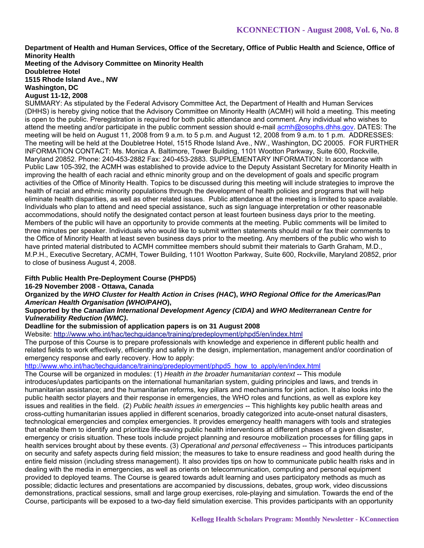**Department of Health and Human Services, Office of the Secretary, Office of Public Health and Science, Office of Minority Health** 

**Meeting of the Advisory Committee on Minority Health Doubletree Hotel 1515 Rhode Island Ave., NW Washington, DC** 

# **August 11-12, 2008**

SUMMARY: As stipulated by the Federal Advisory Committee Act, the Department of Health and Human Services (DHHS) is hereby giving notice that the Advisory Committee on Minority Health (ACMH) will hold a meeting. This meeting is open to the public. Preregistration is required for both public attendance and comment. Any individual who wishes to attend the meeting and/or participate in the public comment session should e-mail acmh@osophs.dhhs.gov. DATES: The meeting will be held on August 11, 2008 from 9 a.m. to 5 p.m. and August 12, 2008 from 9 a.m. to 1 p.m. ADDRESSES: The meeting will be held at the Doubletree Hotel, 1515 Rhode Island Ave., NW., Washington, DC 20005. FOR FURTHER INFORMATION CONTACT: Ms. Monica A. Baltimore, Tower Building, 1101 Wootton Parkway, Suite 600, Rockville, Maryland 20852. Phone: 240-453-2882 Fax: 240-453-2883. SUPPLEMENTARY INFORMATION: In accordance with Public Law 105-392, the ACMH was established to provide advice to the Deputy Assistant Secretary for Minority Health in improving the health of each racial and ethnic minority group and on the development of goals and specific program activities of the Office of Minority Health. Topics to be discussed during this meeting will include strategies to improve the health of racial and ethnic minority populations through the development of health policies and programs that will help eliminate health disparities, as well as other related issues. Public attendance at the meeting is limited to space available. Individuals who plan to attend and need special assistance, such as sign language interpretation or other reasonable accommodations, should notify the designated contact person at least fourteen business days prior to the meeting. Members of the public will have an opportunity to provide comments at the meeting. Public comments will be limited to three minutes per speaker. Individuals who would like to submit written statements should mail or fax their comments to the Office of Minority Health at least seven business days prior to the meeting. Any members of the public who wish to have printed material distributed to ACMH committee members should submit their materials to Garth Graham, M.D., M.P.H., Executive Secretary, ACMH, Tower Building, 1101 Wootton Parkway, Suite 600, Rockville, Maryland 20852, prior to close of business August 4, 2008.

# **Fifth Public Health Pre-Deployment Course (PHPD5)**

# **16-29 November 2008 - Ottawa, Canada**

**Organized by the** *WHO Cluster for Health Action in Crises (HAC***),** *WHO Regional Office for the Americas/Pan American Health Organisation (WHO/PAHO***),** 

#### **Supported by the** *Canadian International Development Agency (CIDA)* **and** *WHO Mediterranean Centre for Vulnerability Reduction (WMC)***.**

#### **Deadline for the submission of application papers is on 31 August 2008**

Website: http://www.who.int/hac/techguidance/training/predeployment/phpd5/en/index.html

The purpose of this Course is to prepare professionals with knowledge and experience in different public health and related fields to work effectively, efficiently and safely in the design, implementation, management and/or coordination of emergency response and early recovery. How to apply:

# http://www.who.int/hac/techguidance/training/predeployment/phpd5\_how\_to\_apply/en/index.html

The Course will be organized in modules: (1) *Health in the broader humanitarian context* -- This module introduces/updates participants on the international humanitarian system, guiding principles and laws, and trends in humanitarian assistance; and the humanitarian reforms, key pillars and mechanisms for joint action. It also looks into the public health sector players and their response in emergencies, the WHO roles and functions, as well as explore key issues and realities in the field. (2) *Public health issues in emergencies* -- This highlights key public health areas and cross-cutting humanitarian issues applied in different scenarios, broadly categorized into acute-onset natural disasters, technological emergencies and complex emergencies. It provides emergency health managers with tools and strategies that enable them to identify and prioritize life-saving public health interventions at different phases of a given disaster, emergency or crisis situation. These tools include project planning and resource mobilization processes for filling gaps in health services brought about by these events. (3) *Operational and personal effectiveness* -- This introduces participants on security and safety aspects during field mission; the measures to take to ensure readiness and good health during the entire field mission (including stress management). It also provides tips on how to communicate public health risks and in dealing with the media in emergencies, as well as orients on telecommunication, computing and personal equipment provided to deployed teams. The Course is geared towards adult learning and uses participatory methods as much as possible; didactic lectures and presentations are accompanied by discussions, debates, group work, video discussions demonstrations, practical sessions, small and large group exercises, role-playing and simulation. Towards the end of the Course, participants will be exposed to a two-day field simulation exercise. This provides participants with an opportunity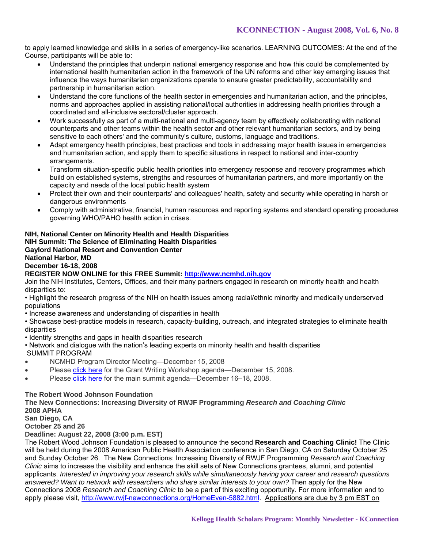to apply learned knowledge and skills in a series of emergency-like scenarios. LEARNING OUTCOMES: At the end of the Course, participants will be able to:

- Understand the principles that underpin national emergency response and how this could be complemented by international health humanitarian action in the framework of the UN reforms and other key emerging issues that influence the ways humanitarian organizations operate to ensure greater predictability, accountability and partnership in humanitarian action.
- Understand the core functions of the health sector in emergencies and humanitarian action, and the principles, norms and approaches applied in assisting national/local authorities in addressing health priorities through a coordinated and all-inclusive sectoral/cluster approach.
- Work successfully as part of a multi-national and multi-agency team by effectively collaborating with national counterparts and other teams within the health sector and other relevant humanitarian sectors, and by being sensitive to each others' and the community's culture, customs, language and traditions.
- Adapt emergency health principles, best practices and tools in addressing major health issues in emergencies and humanitarian action, and apply them to specific situations in respect to national and inter-country arrangements.
- Transform situation-specific public health priorities into emergency response and recovery programmes which build on established systems, strengths and resources of humanitarian partners, and more importantly on the capacity and needs of the local public health system
- Protect their own and their counterparts' and colleagues' health, safety and security while operating in harsh or dangerous environments
- Comply with administrative, financial, human resources and reporting systems and standard operating procedures governing WHO/PAHO health action in crises.

# **NIH, National Center on Minority Health and Health Disparities**

**NIH Summit: The Science of Eliminating Health Disparities** 

**Gaylord National Resort and Convention Center** 

### **National Harbor, MD**

### **December 16-18, 2008**

### **REGISTER NOW ONLINE for this FREE Summit: http://www.ncmhd.nih.gov**

Join the NIH Institutes, Centers, Offices, and their many partners engaged in research on minority health and health disparities to:

• Highlight the research progress of the NIH on health issues among racial/ethnic minority and medically underserved populations

• Increase awareness and understanding of disparities in health

• Showcase best-practice models in research, capacity-building, outreach, and integrated strategies to eliminate health disparities

- Identify strengths and gaps in health disparities research
- Network and dialogue with the nation's leading experts on minority health and health disparities

SUMMIT PROGRAM

- NCMHD Program Director Meeting—December 15, 2008
- Please click here for the Grant Writing Workshop agenda—December 15, 2008.
- Please click here for the main summit agenda—December 16–18, 2008.

#### **The Robert Wood Johnson Foundation**

**The New Connections: Increasing Diversity of RWJF Programming** *Research and Coaching Clinic*  **2008 APHA San Diego, CA** 

**October 25 and 26** 

**Deadline: August 22, 2008 (3:00 p.m. EST)** 

The Robert Wood Johnson Foundation is pleased to announce the second **Research and Coaching Clinic!** The Clinic will be held during the 2008 American Public Health Association conference in San Diego, CA on Saturday October 25 and Sunday October 26. The New Connections: Increasing Diversity of RWJF Programming *Research and Coaching Clinic* aims to increase the visibility and enhance the skill sets of New Connections grantees, alumni, and potential applicants. *Interested in improving your research skills while simultaneously having your career and research questions answered? Want to network with researchers who share similar interests to your own?* Then apply for the New Connections 2008 *Research and Coaching Clinic* to be a part of this exciting opportunity. For more information and to apply please visit, http://www.rwjf-newconnections.org/HomeEven-5882.html. Applications are due by 3 pm EST on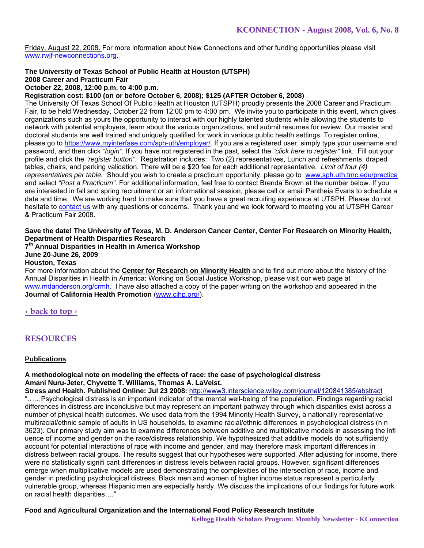Friday, August 22, 2008. For more information about New Connections and other funding opportunities please visit www.rwjf-newconnections.org.

# **The University of Texas School of Public Health at Houston (UTSPH)**

**2008 Career and Practicum Fair** 

### **October 22, 2008, 12:00 p.m. to 4:00 p.m.**

#### **Registration cost: \$100 (on or before October 6, 2008); \$125 (AFTER October 6, 2008)**

The University Of Texas School Of Public Health at Houston (UTSPH) proudly presents the 2008 Career and Practicum Fair, to be held Wednesday, October 22 from 12:00 pm to 4:00 pm. We invite you to participate in this event, which gives organizations such as yours the opportunity to interact with our highly talented students while allowing the students to network with potential employers, learn about the various organizations, and submit resumes for review. Our master and doctoral students are well trained and uniquely qualified for work in various public health settings. To register online, please go to https://www.myinterfase.com/sph-uth/employer/. If you are a registered user, simply type your username and password, and then click *"login"*. If you have not registered in the past, select the *"click here to register"* link. Fill out your profile and click the *"register button"*. Registration includes: Two (2) representatives, Lunch and refreshments, draped tables, chairs, and parking validation. There will be a \$20 fee for each additional representative. *Limit of four (4) representatives per table.* Should you wish to create a practicum opportunity, please go to www.sph.uth.tmc.edu/practica and select *"Post a Practicum"*. For additional information, feel free to contact Brenda Brown at the number below. If you are interested in fall and spring recruitment or an informational session, please call or email Pantheia Evans to schedule a date and time. We are working hard to make sure that you have a great recruiting experience at UTSPH. Please do not hesitate to contact us with any questions or concerns. Thank you and we look forward to meeting you at UTSPH Career & Practicum Fair 2008.

### **Save the date! The University of Texas, M. D. Anderson Cancer Center, Center For Research on Minority Health, Department of Health Disparities Research**

**7th Annual Disparities in Health in America Workshop** 

**June 20-June 26, 2009** 

#### **Houston, Texas**

For more information about the **Center for Research on Minority Health** and to find out more about the history of the Annual Disparities in Health in America: Working on Social Justice Workshop, please visit our web page at www.mdanderson.org/crmh. I have also attached a copy of the paper writing on the workshop and appeared in the **Journal of California Health Promotion** (www.cjhp.org/).

**‹ back to top ›**

# **RESOURCES**

#### **Publications**

### **A methodological note on modeling the effects of race: the case of psychological distress Amani Nuru-Jeter, Chyvette T. Williams, Thomas A. LaVeist.**

**Stress and Health. Published Online: Jul 23 2008:** http://www3.interscience.wiley.com/journal/120841385/abstract "……Psychological distress is an important indicator of the mental well-being of the population. Findings regarding racial differences in distress are inconclusive but may represent an important pathway through which disparities exist across a number of physical health outcomes. We used data from the 1994 Minority Health Survey, a nationally representative multiracial/ethnic sample of adults in US households, to examine racial/ethnic differences in psychological distress (n n 3623). Our primary study aim was to examine differences between additive and multiplicative models in assessing the infl uence of income and gender on the race/distress relationship. We hypothesized that additive models do not sufficiently account for potential interactions of race with income and gender, and may therefore mask important differences in distress between racial groups. The results suggest that our hypotheses were supported. After adjusting for income, there were no statistically signifi cant differences in distress levels between racial groups. However, significant differences emerge when multiplicative models are used demonstrating the complexities of the intersection of race, income and gender in predicting psychological distress. Black men and women of higher income status represent a particularly vulnerable group, whereas Hispanic men are especially hardy. We discuss the implications of our findings for future work on racial health disparities…."

# **Food and Agricultural Organization and the International Food Policy Research Institute**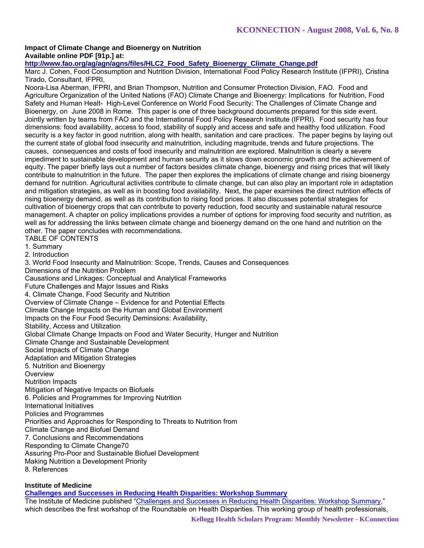### **Impact of Climate Change and Bioenergy on Nutrition Available online PDF [91p.] at:**

# **http://www.fao.org/ag/agn/agns/files/HLC2\_Food\_Safety\_Bioenergy\_Climate\_Change.pdf**

Marc J. Cohen, Food Consumption and Nutrition Division, International Food Policy Research Institute (IFPRI), Cristina Tirado, Consultant, IFPRI,

Noora-Lisa Aberman, IFPRI, and Brian Thompson, Nutrition and Consumer Protection Division, FAO. Food and Agriculture Organization of the United Nations (FAO) Climate Change and Bioenergy: Implications for Nutrition, Food Safety and Human Healt- High-Level Conference on World Food Security: The Challenges of Climate Change and Bioenergy, on June 2008 in Rome. This paper is one of three background documents prepared for this side event. Jointly written by teams from FAO and the International Food Policy Research Institute (IFPRI). Food security has four dimensions: food availability, access to food, stability of supply and access and safe and healthy food utilization. Food security is a key factor in good nutrition, along with health, sanitation and care practices. The paper begins by laying out the current state of global food insecurity and malnutrition, including magnitude, trends and future projections. The causes, consequences and costs of food insecurity and malnutrition are explored. Malnutrition is clearly a severe impediment to sustainable development and human security as it slows down economic growth and the achievement of equity. The paper briefly lays out a number of factors besides climate change, bioenergy and rising prices that will likely contribute to malnutrition in the future. The paper then explores the implications of climate change and rising bioenergy demand for nutrition. Agricultural activities contribute to climate change, but can also play an important role in adaptation and mitigation strategies, as well as in boosting food availability. Next, the paper examines the direct nutrition effects of rising bioenergy demand, as well as its contribution to rising food prices. It also discusses potential strategies for cultivation of bioenergy crops that can contribute to poverty reduction, food security and sustainable natural resource management. A chapter on policy implications provides a number of options for improving food security and nutrition, as well as for addressing the links between climate change and bioenergy demand on the one hand and nutrition on the other. The paper concludes with recommendations. TABLE OF CONTENTS

1. Summary

2. Introduction

3. World Food Insecurity and Malnutrition: Scope, Trends, Causes and Consequences Dimensions of the Nutrition Problem Causations and Linkages: Conceptual and Analytical Frameworks Future Challenges and Major Issues and Risks 4. Climate Change, Food Security and Nutrition Overview of Climate Change – Evidence for and Potential Effects Climate Change Impacts on the Human and Global Environment Impacts on the Four Food Security Deminsions: Availability, Stability, Access and Utilization Global Climate Change Impacts on Food and Water Security, Hunger and Nutrition Climate Change and Sustainable Development Social Impacts of Climate Change Adaptation and Mitigation Strategies 5. Nutrition and Bioenergy **Overview** Nutrition Impacts Mitigation of Negative Impacts on Biofuels 6. Policies and Programmes for Improving Nutrition International Initiatives Policies and Programmes Priorities and Approaches for Responding to Threats to Nutrition from Climate Change and Biofuel Demand 7. Conclusions and Recommendations Responding to Climate Change70 Assuring Pro-Poor and Sustainable Biofuel Development Making Nutrition a Development Priority 8. References

# **Institute of Medicine**

**Challenges and Successes in Reducing Health Disparities: Workshop Summary**

The Institute of Medicine published "Challenges and Successes in Reducing Health Disparities: Workshop Summary," which describes the first workshop of the Roundtable on Health Disparities. This working group of health professionals,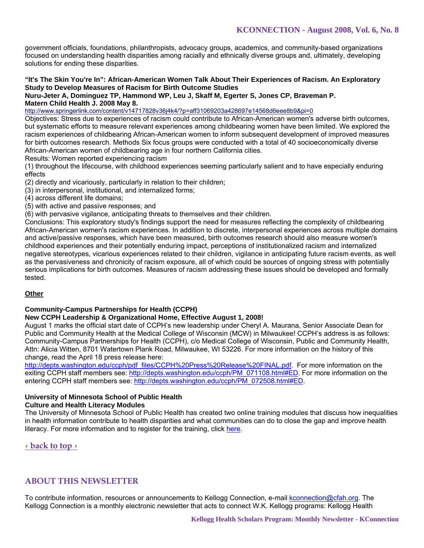government officials, foundations, philanthropists, advocacy groups, academics, and community-based organizations focused on understanding health disparities among racially and ethnically diverse groups and, ultimately, developing solutions for ending these disparities.

### **"It's The Skin You're In": African-American Women Talk About Their Experiences of Racism. An Exploratory Study to Develop Measures of Racism for Birth Outcome Studies**

#### **Nuru-Jeter A, Dominguez TP, Hammond WP, Leu J, Skaff M, Egerter S, Jones CP, Braveman P. Matern Child Health J. 2008 May 8.**

http://www.springerlink.com/content/v14717828v36j4k4/?p=aff31069203a428697e14568d6eee8b9&pi=0

Objectives: Stress due to experiences of racism could contribute to African-American women's adverse birth outcomes, but systematic efforts to measure relevant experiences among childbearing women have been limited. We explored the racism experiences of childbearing African-American women to inform subsequent development of improved measures for birth outcomes research. Methods Six focus groups were conducted with a total of 40 socioeconomically diverse African-American women of childbearing age in four northern California cities.

Results: Women reported experiencing racism

(1) throughout the lifecourse, with childhood experiences seeming particularly salient and to have especially enduring effects

(2) directly and vicariously, particularly in relation to their children;

(3) in interpersonal, institutional, and internalized forms;

(4) across different life domains;

(5) with active and passive responses; and

(6) with pervasive vigilance, anticipating threats to themselves and their children.

Conclusions: This exploratory study's findings support the need for measures reflecting the complexity of childbearing African-American women's racism experiences. In addition to discrete, interpersonal experiences across multiple domains and active/passive responses, which have been measured, birth outcomes research should also measure women's childhood experiences and their potentially enduring impact, perceptions of institutionalized racism and internalized negative stereotypes, vicarious experiences related to their children, vigilance in anticipating future racism events, as well as the pervasiveness and chronicity of racism exposure, all of which could be sources of ongoing stress with potentially serious implications for birth outcomes. Measures of racism addressing these issues should be developed and formally tested.

# **Other**

# **Community-Campus Partnerships for Health (CCPH)**

# **New CCPH Leadership & Organizational Home, Effective August 1, 2008!**

August 1 marks the official start date of CCPH's new leadership under Cheryl A. Maurana, Senior Associate Dean for Public and Community Health at the Medical College of Wisconsin (MCW) in Milwaukee! CCPH's address is as follows: Community-Campus Partnerships for Health (CCPH), c/o Medical College of Wisconsin, Public and Community Health, Attn: Alicia Witten, 8701 Watertown Plank Road, Milwaukee, WI 53226. For more information on the history of this change, read the April 18 press release here:

http://depts.washington.edu/ccph/pdf\_files/CCPH%20Press%20Release%20FINAL.pdf. For more information on the exiting CCPH staff members see: http://depts.washington.edu/ccph/PM\_071108.html#ED. For more information on the entering CCPH staff members see: http://depts.washington.edu/ccph/PM\_072508.html#ED.

# **University of Minnesota School of Public Health**

# **Culture and Health Literacy Modules**

The University of Minnesota School of Public Health has created two online training modules that discuss how inequalities in health information contribute to health disparities and what communities can do to close the gap and improve health literacy. For more information and to register for the training, click here.

# **‹ back to top ›**

# **ABOUT THIS NEWSLETTER**

To contribute information, resources or announcements to Kellogg Connection, e-mail kconnection@cfah.org. The Kellogg Connection is a monthly electronic newsletter that acts to connect W.K. Kellogg programs: Kellogg Health